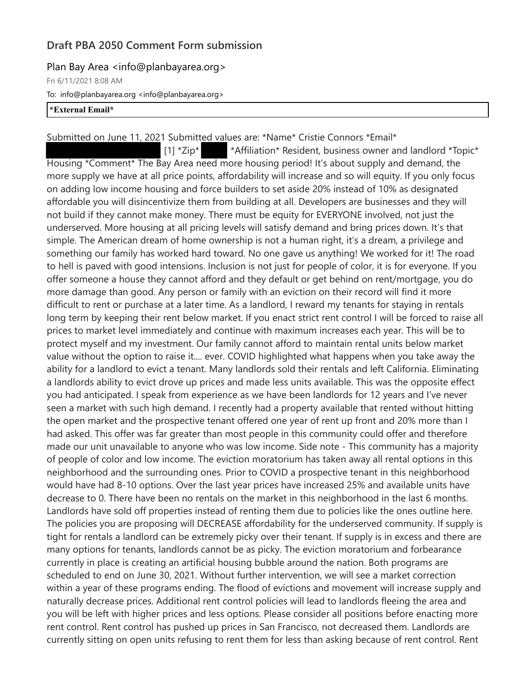## **Draft PBA 2050 Comment Form submission**

## Plan Bay Area <info@planbayarea.org>

Fri 6/11/2021 8:08 AM

To: info@planbayarea.org <info@planbayarea.org>

## **\*External Email\***

Submitted on June 11, 2021 Submitted values are: \*Name\* Cristie Connors \*Email\* [1] \*Zip\* \*Affiliation\* Resident, business owner and landlord \*Topic\* Housing \*Comment\* The Bay Area need more housing period! It's about supply and demand, the more supply we have at all price points, affordability will increase and so will equity. If you only focus on adding low income housing and force builders to set aside 20% instead of 10% as designated affordable you will disincentivize them from building at all. Developers are businesses and they will not build if they cannot make money. There must be equity for EVERYONE involved, not just the underserved. More housing at all pricing levels will satisfy demand and bring prices down. It's that simple. The American dream of home ownership is not a human right, it's a dream, a privilege and something our family has worked hard toward. No one gave us anything! We worked for it! The road to hell is paved with good intensions. Inclusion is not just for people of color, it is for everyone. If you offer someone a house they cannot afford and they default or get behind on rent/mortgage, you do more damage than good. Any person or family with an eviction on their record will find it more difficult to rent or purchase at a later time. As a landlord, I reward my tenants for staying in rentals long term by keeping their rent below market. If you enact strict rent control I will be forced to raise all prices to market level immediately and continue with maximum increases each year. This will be to protect myself and my investment. Our family cannot afford to maintain rental units below market value without the option to raise it.... ever. COVID highlighted what happens when you take away the ability for a landlord to evict a tenant. Many landlords sold their rentals and left California. Eliminating a landlords ability to evict drove up prices and made less units available. This was the opposite effect you had anticipated. I speak from experience as we have been landlords for 12 years and I've never seen a market with such high demand. I recently had a property available that rented without hitting the open market and the prospective tenant offered one year of rent up front and 20% more than I had asked. This offer was far greater than most people in this community could offer and therefore made our unit unavailable to anyone who was low income. Side note - This community has a majority of people of color and low income. The eviction moratorium has taken away all rental options in this neighborhood and the surrounding ones. Prior to COVID a prospective tenant in this neighborhood would have had 8-10 options. Over the last year prices have increased 25% and available units have decrease to 0. There have been no rentals on the market in this neighborhood in the last 6 months. Landlords have sold off properties instead of renting them due to policies like the ones outline here. The policies you are proposing will DECREASE affordability for the underserved community. If supply is tight for rentals a landlord can be extremely picky over their tenant. If supply is in excess and there are many options for tenants, landlords cannot be as picky. The eviction moratorium and forbearance currently in place is creating an artificial housing bubble around the nation. Both programs are scheduled to end on June 30, 2021. Without further intervention, we will see a market correction within a year of these programs ending. The flood of evictions and movement will increase supply and naturally decrease prices. Additional rent control policies will lead to landlords fleeing the area and you will be left with higher prices and less options. Please consider all positions before enacting more rent control. Rent control has pushed up prices in San Francisco, not decreased them. Landlords are currently sitting on open units refusing to rent them for less than asking because of rent control. Rent